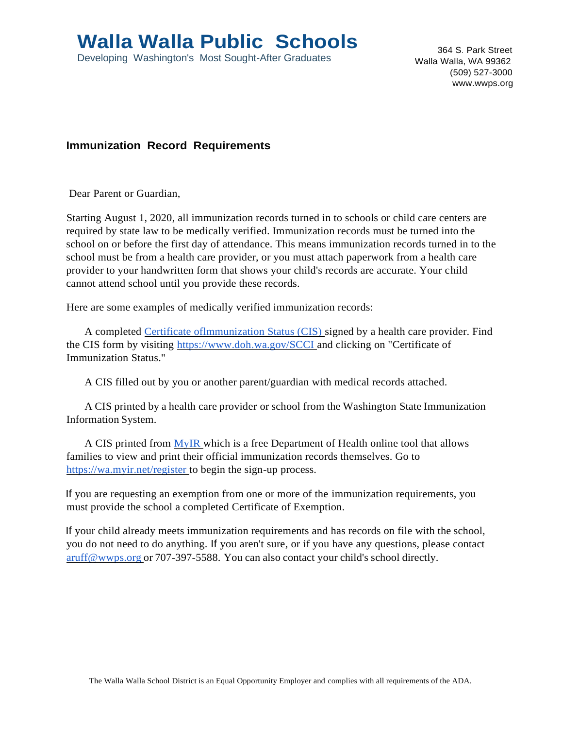## **Walla Walla Public Schools**

Developing Washington's Most Sought-After Graduates

364 S. Park Street Walla Walla, WA 99362 (509) 527-3000 [www.wwps.org](http://www.wwps.org/)

## **Immunization Record Requirements**

Dear Parent or Guardian,

Starting August 1, 2020, all immunization records turned in to schools or child care centers are required by state law to be medically verified. Immunization records must be turned into the school on or before the first day of attendance. This means immunization records turned in to the school must be from a health care provider, or you must attach paperwork from a health care provider to your handwritten form that shows your child's records are accurate. Your child cannot attend school until you provide these records.

Here are some examples of medically verified immunization records:

A completed Certificate oflmmunization Status (CIS) signed by a health care provider. Find the CIS form by visiting [https://www.doh.wa.gov/SCCI a](http://www.doh.wa.gov/SCCI)nd clicking on "Certificate of Immunization Status."

A CIS filled out by you or another parent/guardian with medical records attached.

A CIS printed by a health care provider or school from the Washington State Immunization Information System.

A CIS printed from MyIR which is a free Department of Health online tool that allows families to view and print their official immunization records themselves. Go to https://wa.myir.net/register to begin the sign-up process.

If you are requesting an exemption from one or more of the immunization requirements, you must provide the school a completed Certificate of Exemption.

If your child already meets immunization requirements and has records on file with the school, you do not need to do anything. If you aren't sure, or if you have any questions, please contact [aruff@wwps.org](mailto:aruff@wwps.org) or 707-397-5588. You can also contact your child's school directly.